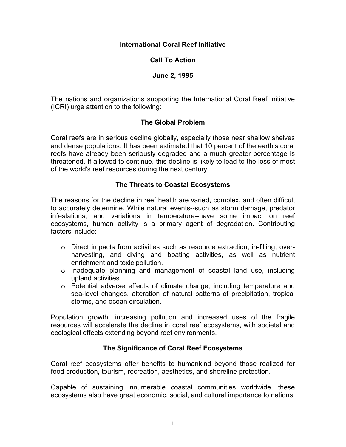### **International Coral Reef Initiative**

## **Call To Action**

### **June 2, 1995**

The nations and organizations supporting the International Coral Reef Initiative (ICRI) urge attention to the following:

## **The Global Problem**

Coral reefs are in serious decline globally, especially those near shallow shelves and dense populations. It has been estimated that 10 percent of the earth's coral reefs have already been seriously degraded and a much greater percentage is threatened. If allowed to continue, this decline is likely to lead to the loss of most of the world's reef resources during the next century.

## **The Threats to Coastal Ecosystems**

The reasons for the decline in reef health are varied, complex, and often difficult to accurately determine. While natural events--such as storm damage, predator infestations, and variations in temperature--have some impact on reef ecosystems, human activity is a primary agent of degradation. Contributing factors include:

- o Direct impacts from activities such as resource extraction, in-filling, overharvesting, and diving and boating activities, as well as nutrient enrichment and toxic pollution.
- o Inadequate planning and management of coastal land use, including upland activities.
- o Potential adverse effects of climate change, including temperature and sea-level changes, alteration of natural patterns of precipitation, tropical storms, and ocean circulation.

Population growth, increasing pollution and increased uses of the fragile resources will accelerate the decline in coral reef ecosystems, with societal and ecological effects extending beyond reef environments.

# **The Significance of Coral Reef Ecosystems**

Coral reef ecosystems offer benefits to humankind beyond those realized for food production, tourism, recreation, aesthetics, and shoreline protection.

Capable of sustaining innumerable coastal communities worldwide, these ecosystems also have great economic, social, and cultural importance to nations,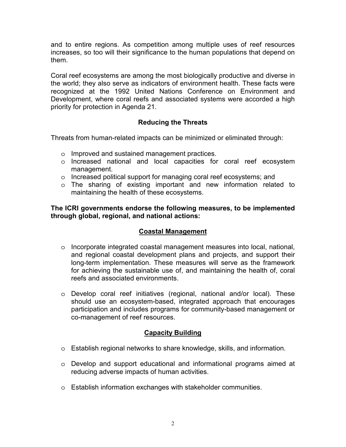and to entire regions. As competition among multiple uses of reef resources increases, so too will their significance to the human populations that depend on them.

Coral reef ecosystems are among the most biologically productive and diverse in the world; they also serve as indicators of environment health. These facts were recognized at the 1992 United Nations Conference on Environment and Development, where coral reefs and associated systems were accorded a high priority for protection in Agenda 21.

# **Reducing the Threats**

Threats from human-related impacts can be minimized or eliminated through:

- o Improved and sustained management practices.
- o Increased national and local capacities for coral reef ecosystem management.
- o Increased political support for managing coral reef ecosystems; and
- o The sharing of existing important and new information related to maintaining the health of these ecosystems.

**The ICRI governments endorse the following measures, to be implemented through global, regional, and national actions:** 

# **Coastal Management**

- o Incorporate integrated coastal management measures into local, national, and regional coastal development plans and projects, and support their long-term implementation. These measures will serve as the framework for achieving the sustainable use of, and maintaining the health of, coral reefs and associated environments.
- o Develop coral reef initiatives (regional, national and/or local). These should use an ecosystem-based, integrated approach that encourages participation and includes programs for community-based management or co-management of reef resources.

# **Capacity Building**

- o Establish regional networks to share knowledge, skills, and information.
- o Develop and support educational and informational programs aimed at reducing adverse impacts of human activities.
- o Establish information exchanges with stakeholder communities.